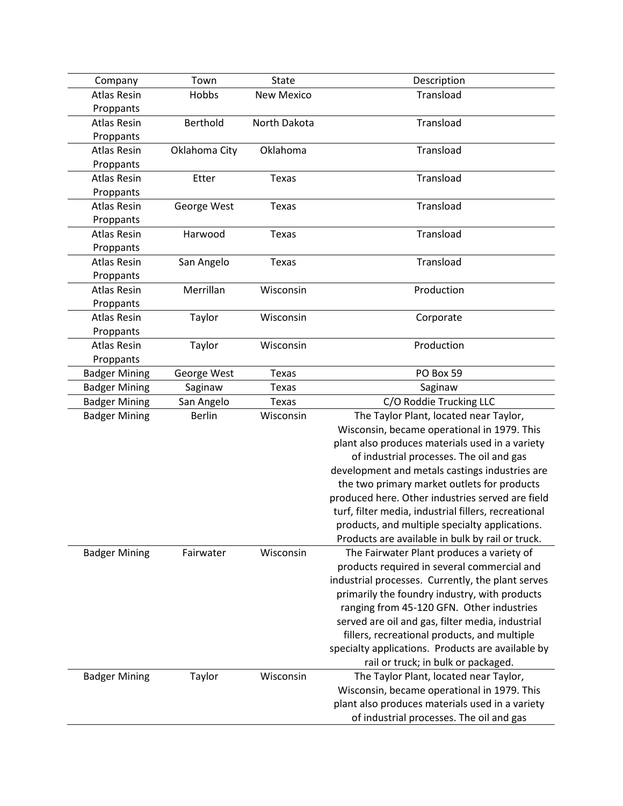| Company                         | Town          | <b>State</b>      | Description                                          |
|---------------------------------|---------------|-------------------|------------------------------------------------------|
| <b>Atlas Resin</b>              | Hobbs         | <b>New Mexico</b> | Transload                                            |
| Proppants                       |               |                   |                                                      |
| <b>Atlas Resin</b>              | Berthold      | North Dakota      | Transload                                            |
| Proppants                       |               |                   |                                                      |
| <b>Atlas Resin</b>              | Oklahoma City | Oklahoma          | Transload                                            |
| Proppants                       |               |                   |                                                      |
| <b>Atlas Resin</b>              | Etter         | <b>Texas</b>      | Transload                                            |
| Proppants                       |               |                   |                                                      |
| <b>Atlas Resin</b>              | George West   | <b>Texas</b>      | Transload                                            |
| Proppants                       |               |                   |                                                      |
| <b>Atlas Resin</b>              | Harwood       | Texas             | Transload                                            |
| Proppants                       |               |                   |                                                      |
| <b>Atlas Resin</b>              | San Angelo    | <b>Texas</b>      | Transload                                            |
| Proppants                       |               |                   |                                                      |
| <b>Atlas Resin</b>              | Merrillan     | Wisconsin         | Production                                           |
| Proppants                       |               |                   |                                                      |
| <b>Atlas Resin</b>              | Taylor        | Wisconsin         | Corporate                                            |
| Proppants<br><b>Atlas Resin</b> |               | Wisconsin         | Production                                           |
| Proppants                       | Taylor        |                   |                                                      |
| <b>Badger Mining</b>            | George West   | <b>Texas</b>      | PO Box 59                                            |
| <b>Badger Mining</b>            | Saginaw       | <b>Texas</b>      | Saginaw                                              |
| <b>Badger Mining</b>            | San Angelo    | <b>Texas</b>      | C/O Roddie Trucking LLC                              |
| <b>Badger Mining</b>            | <b>Berlin</b> | Wisconsin         | The Taylor Plant, located near Taylor,               |
|                                 |               |                   | Wisconsin, became operational in 1979. This          |
|                                 |               |                   | plant also produces materials used in a variety      |
|                                 |               |                   | of industrial processes. The oil and gas             |
|                                 |               |                   | development and metals castings industries are       |
|                                 |               |                   | the two primary market outlets for products          |
|                                 |               |                   | produced here. Other industries served are field     |
|                                 |               |                   | turf, filter media, industrial fillers, recreational |
|                                 |               |                   | products, and multiple specialty applications.       |
|                                 |               |                   | Products are available in bulk by rail or truck.     |
| <b>Badger Mining</b>            | Fairwater     | Wisconsin         | The Fairwater Plant produces a variety of            |
|                                 |               |                   | products required in several commercial and          |
|                                 |               |                   | industrial processes. Currently, the plant serves    |
|                                 |               |                   | primarily the foundry industry, with products        |
|                                 |               |                   | ranging from 45-120 GFN. Other industries            |
|                                 |               |                   | served are oil and gas, filter media, industrial     |
|                                 |               |                   | fillers, recreational products, and multiple         |
|                                 |               |                   | specialty applications. Products are available by    |
|                                 |               |                   | rail or truck; in bulk or packaged.                  |
| <b>Badger Mining</b>            | Taylor        | Wisconsin         | The Taylor Plant, located near Taylor,               |
|                                 |               |                   | Wisconsin, became operational in 1979. This          |
|                                 |               |                   | plant also produces materials used in a variety      |
|                                 |               |                   | of industrial processes. The oil and gas             |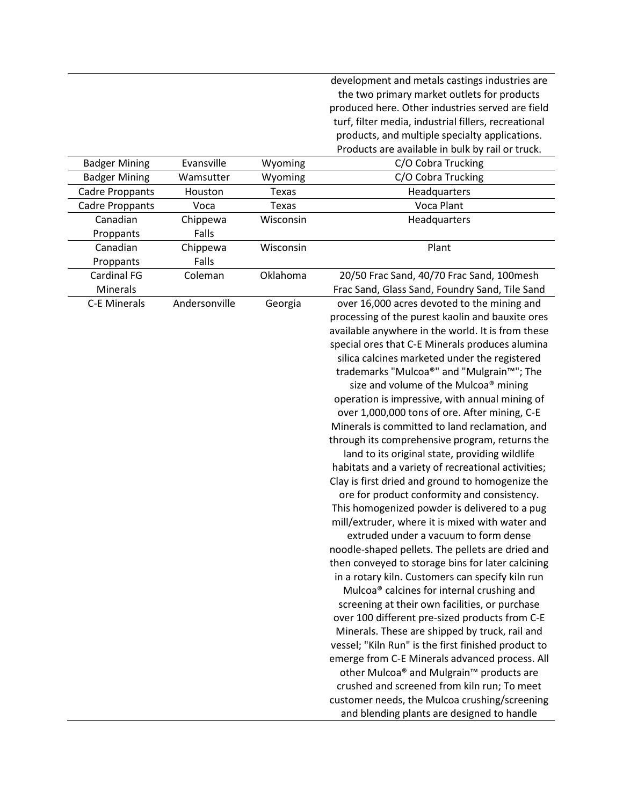development and metals castings industries are the two primary market outlets for products produced here. Other industries served are field turf, filter media, industrial fillers, recreational products, and multiple specialty applications. Products are available in bulk by rail or truck.

| <b>Badger Mining</b>   | Evansville    | Wyoming   | C/O Cobra Trucking                                     |
|------------------------|---------------|-----------|--------------------------------------------------------|
| <b>Badger Mining</b>   | Wamsutter     | Wyoming   | C/O Cobra Trucking                                     |
| <b>Cadre Proppants</b> | Houston       | Texas     | Headquarters                                           |
| <b>Cadre Proppants</b> | Voca          | Texas     | Voca Plant                                             |
| Canadian               | Chippewa      | Wisconsin | Headquarters                                           |
| Proppants              | Falls         |           |                                                        |
| Canadian               | Chippewa      | Wisconsin | Plant                                                  |
| Proppants              | Falls         |           |                                                        |
| <b>Cardinal FG</b>     | Coleman       | Oklahoma  | 20/50 Frac Sand, 40/70 Frac Sand, 100mesh              |
| Minerals               |               |           | Frac Sand, Glass Sand, Foundry Sand, Tile Sand         |
| <b>C-E Minerals</b>    | Andersonville | Georgia   | over 16,000 acres devoted to the mining and            |
|                        |               |           | processing of the purest kaolin and bauxite ores       |
|                        |               |           | available anywhere in the world. It is from these      |
|                        |               |           | special ores that C-E Minerals produces alumina        |
|                        |               |           | silica calcines marketed under the registered          |
|                        |               |           | trademarks "Mulcoa®" and "Mulgrain™"; The              |
|                        |               |           | size and volume of the Mulcoa® mining                  |
|                        |               |           | operation is impressive, with annual mining of         |
|                        |               |           | over 1,000,000 tons of ore. After mining, C-E          |
|                        |               |           | Minerals is committed to land reclamation, and         |
|                        |               |           | through its comprehensive program, returns the         |
|                        |               |           | land to its original state, providing wildlife         |
|                        |               |           | habitats and a variety of recreational activities;     |
|                        |               |           | Clay is first dried and ground to homogenize the       |
|                        |               |           | ore for product conformity and consistency.            |
|                        |               |           | This homogenized powder is delivered to a pug          |
|                        |               |           | mill/extruder, where it is mixed with water and        |
|                        |               |           | extruded under a vacuum to form dense                  |
|                        |               |           | noodle-shaped pellets. The pellets are dried and       |
|                        |               |           | then conveyed to storage bins for later calcining      |
|                        |               |           | in a rotary kiln. Customers can specify kiln run       |
|                        |               |           | Mulcoa <sup>®</sup> calcines for internal crushing and |
|                        |               |           | screening at their own facilities, or purchase         |
|                        |               |           | over 100 different pre-sized products from C-E         |
|                        |               |           | Minerals. These are shipped by truck, rail and         |
|                        |               |           | vessel; "Kiln Run" is the first finished product to    |
|                        |               |           | emerge from C-E Minerals advanced process. All         |
|                        |               |           | other Mulcoa® and Mulgrain™ products are               |
|                        |               |           | crushed and screened from kiln run; To meet            |
|                        |               |           | customer needs, the Mulcoa crushing/screening          |
|                        |               |           | and blending plants are designed to handle             |
|                        |               |           |                                                        |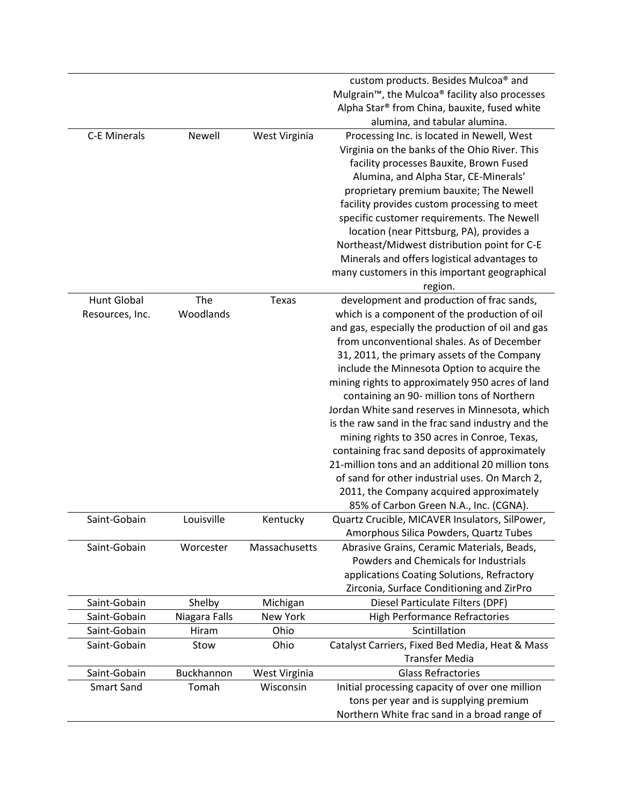|                     |                  |               | custom products. Besides Mulcoa® and                                                            |
|---------------------|------------------|---------------|-------------------------------------------------------------------------------------------------|
|                     |                  |               | Mulgrain <sup>™</sup> , the Mulcoa <sup>®</sup> facility also processes                         |
|                     |                  |               | Alpha Star® from China, bauxite, fused white                                                    |
|                     |                  |               | alumina, and tabular alumina.                                                                   |
| <b>C-E Minerals</b> | Newell           | West Virginia | Processing Inc. is located in Newell, West                                                      |
|                     |                  |               | Virginia on the banks of the Ohio River. This                                                   |
|                     |                  |               | facility processes Bauxite, Brown Fused                                                         |
|                     |                  |               | Alumina, and Alpha Star, CE-Minerals'                                                           |
|                     |                  |               | proprietary premium bauxite; The Newell                                                         |
|                     |                  |               | facility provides custom processing to meet                                                     |
|                     |                  |               | specific customer requirements. The Newell                                                      |
|                     |                  |               | location (near Pittsburg, PA), provides a                                                       |
|                     |                  |               | Northeast/Midwest distribution point for C-E                                                    |
|                     |                  |               | Minerals and offers logistical advantages to                                                    |
|                     |                  |               |                                                                                                 |
|                     |                  |               | many customers in this important geographical                                                   |
|                     |                  |               | region.                                                                                         |
| <b>Hunt Global</b>  | The<br>Woodlands | Texas         | development and production of frac sands,                                                       |
| Resources, Inc.     |                  |               | which is a component of the production of oil                                                   |
|                     |                  |               | and gas, especially the production of oil and gas<br>from unconventional shales. As of December |
|                     |                  |               |                                                                                                 |
|                     |                  |               | 31, 2011, the primary assets of the Company                                                     |
|                     |                  |               | include the Minnesota Option to acquire the                                                     |
|                     |                  |               | mining rights to approximately 950 acres of land                                                |
|                     |                  |               | containing an 90- million tons of Northern                                                      |
|                     |                  |               | Jordan White sand reserves in Minnesota, which                                                  |
|                     |                  |               | is the raw sand in the frac sand industry and the                                               |
|                     |                  |               | mining rights to 350 acres in Conroe, Texas,                                                    |
|                     |                  |               | containing frac sand deposits of approximately                                                  |
|                     |                  |               | 21-million tons and an additional 20 million tons                                               |
|                     |                  |               | of sand for other industrial uses. On March 2,                                                  |
|                     |                  |               | 2011, the Company acquired approximately                                                        |
|                     |                  |               | 85% of Carbon Green N.A., Inc. (CGNA).                                                          |
| Saint-Gobain        | Louisville       | Kentucky      | Quartz Crucible, MICAVER Insulators, SilPower,                                                  |
|                     |                  |               | Amorphous Silica Powders, Quartz Tubes                                                          |
| Saint-Gobain        | Worcester        | Massachusetts | Abrasive Grains, Ceramic Materials, Beads,                                                      |
|                     |                  |               | Powders and Chemicals for Industrials                                                           |
|                     |                  |               | applications Coating Solutions, Refractory                                                      |
|                     |                  |               | Zirconia, Surface Conditioning and ZirPro                                                       |
| Saint-Gobain        | Shelby           | Michigan      | Diesel Particulate Filters (DPF)                                                                |
| Saint-Gobain        | Niagara Falls    | New York      | <b>High Performance Refractories</b>                                                            |
| Saint-Gobain        | Hiram            | Ohio          | Scintillation                                                                                   |
| Saint-Gobain        | Stow             | Ohio          | Catalyst Carriers, Fixed Bed Media, Heat & Mass                                                 |
|                     |                  |               | <b>Transfer Media</b>                                                                           |
| Saint-Gobain        | Buckhannon       | West Virginia | <b>Glass Refractories</b>                                                                       |
| <b>Smart Sand</b>   | Tomah            | Wisconsin     | Initial processing capacity of over one million                                                 |
|                     |                  |               | tons per year and is supplying premium                                                          |
|                     |                  |               | Northern White frac sand in a broad range of                                                    |